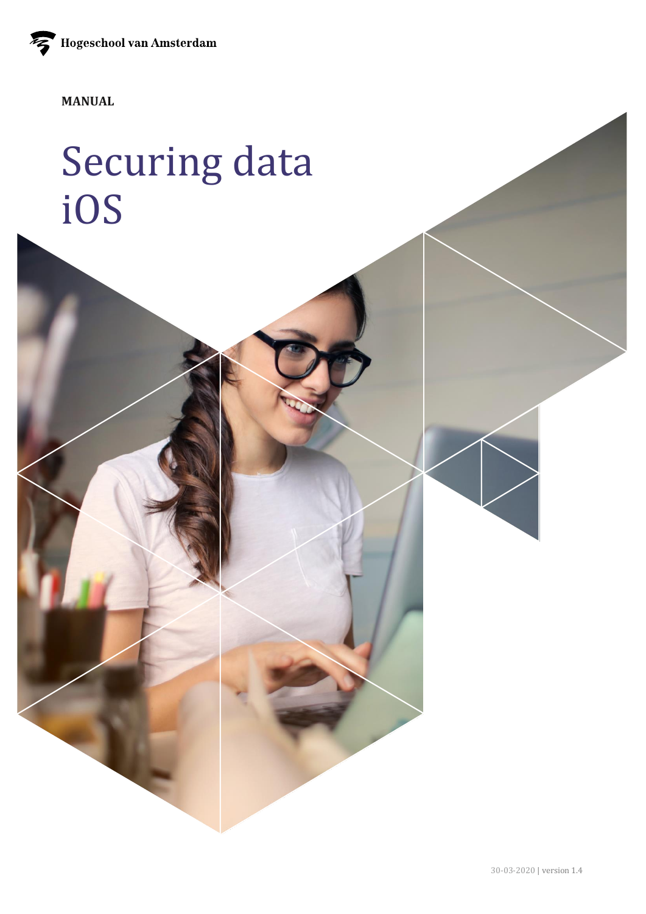Hogeschool van Amsterdam

**MANUAL** 

# Securing data iOS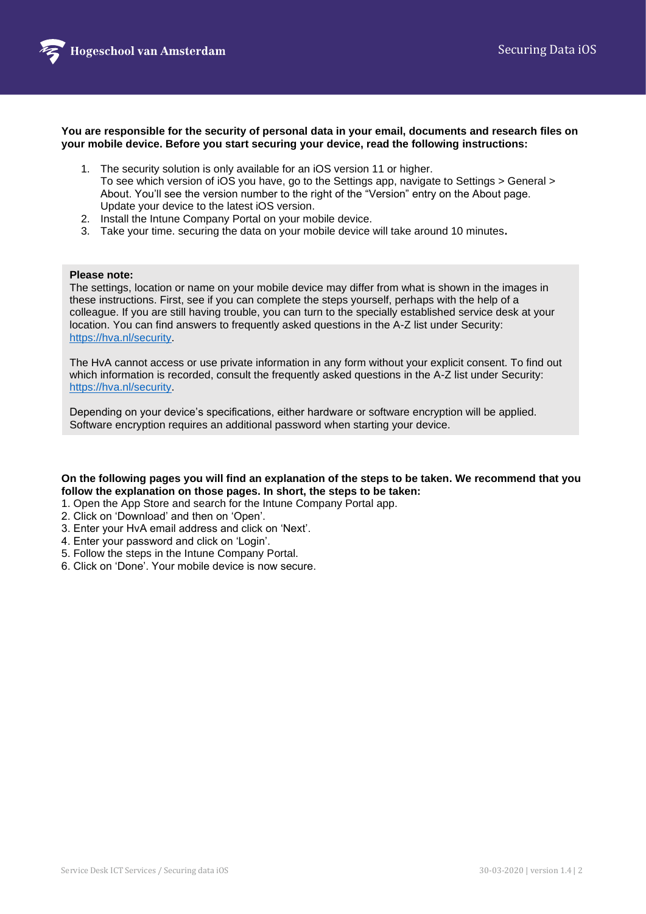

**You are responsible for the security of personal data in your email, documents and research files on your mobile device. Before you start securing your device, read the following instructions:**

- 1. The security solution is only available for an iOS version 11 or higher. To see which version of iOS you have, go to the Settings app, navigate to Settings > General > About. You'll see the version number to the right of the "Version" entry on the About page. Update your device to the latest iOS version.
- 2. Install the Intune Company Portal on your mobile device.
- 3. Take your time. securing the data on your mobile device will take around 10 minutes**.**

#### **Please note:**

The settings, location or name on your mobile device may differ from what is shown in the images in these instructions. First, see if you can complete the steps yourself, perhaps with the help of a colleague. If you are still having trouble, you can turn to the specially established service desk at your location. You can find answers to frequently asked questions in the A-Z list under Security: [https://hva.nl/security.](https://az.hva.nl/en/employees/az-lemmas/employees/auas/its-si/ict-security/frequently-asked-questions-security-measures/frequently-asked-questions-security-measures-secure-self.html?origin=XHpa9wz9QwO16T1QmXaA%2Fw)

The HvA cannot access or use private information in any form without your explicit consent. To find out which information is recorded, consult the frequently asked questions in the A-Z list under Security: [https://hva.nl/security.](https://az.hva.nl/en/employees/az-lemmas/employees/auas/its-si/ict-security/frequently-asked-questions-security-measures/frequently-asked-questions-security-measures-secure-self.html?origin=XHpa9wz9QwO16T1QmXaA%2Fw)

Depending on your device's specifications, either hardware or software encryption will be applied. Software encryption requires an additional password when starting your device.

#### **On the following pages you will find an explanation of the steps to be taken. We recommend that you follow the explanation on those pages. In short, the steps to be taken:**

- 1. Open the App Store and search for the Intune Company Portal app.
- 2. Click on 'Download' and then on 'Open'.
- 3. Enter your HvA email address and click on 'Next'.
- 4. Enter your password and click on 'Login'.
- 5. Follow the steps in the Intune Company Portal.
- 6. Click on 'Done'. Your mobile device is now secure.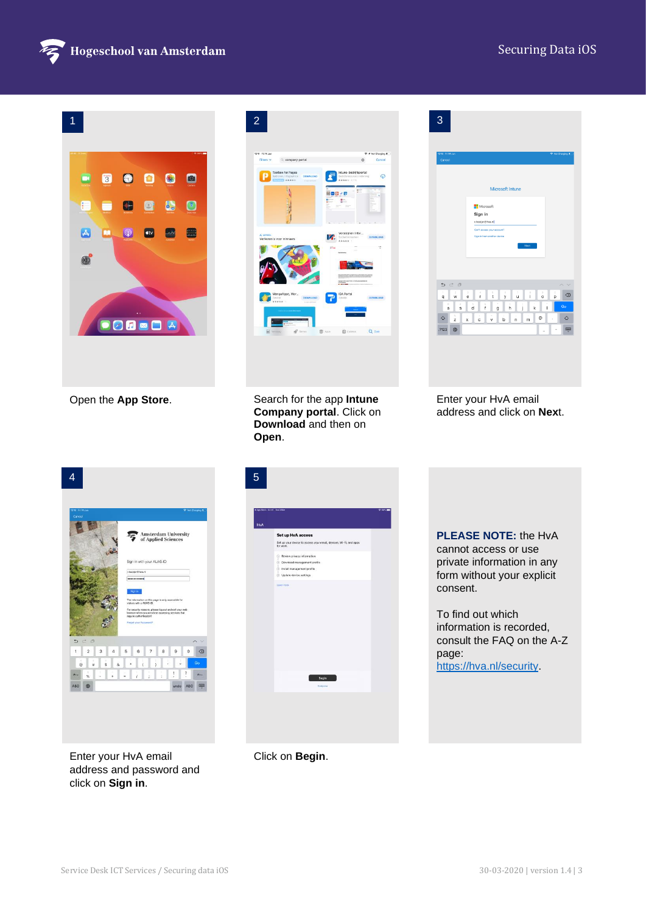## Securing Data iOS



| $\bullet$<br>3<br>0<br>$\bullet$<br>$\bullet$<br>$\blacksquare$<br>U.<br>Œ<br>ŧ.<br>Ø<br>$\left\lfloor \circ \right\rfloor$<br>$\circledcirc$<br>⋏<br>M<br><b>atv</b><br>0080 A<br>Open the App Store.                                                                                                                                                                                                                                                                                                                                                                                                                                                                                 | $\overline{2}$<br>13:11 Fri 14 Jun<br>Not Charging #<br>Cancel<br>Filters v<br>c. company portal<br>ö<br><b>Toolbox for Pages</b><br>$\boldsymbol{\varphi}$<br>$1$ sees:<br>国目面<br>v冊<br>150<br>IZ.<br>Verliezen is voor winnaars<br>$-0.664$<br>langoApps, Wor.<br>7<br>т<br><b>DOWNLOAD</b><br>$Q$ 2001<br><b>B</b> Jops<br><b>自</b> Updates<br>Search for the app Intune | 3<br>Microsoft Intune<br>Microsoft<br>Sign in<br>r.hooijer@hva.nl<br>Can't access your account!<br>Sign in from another devic<br>D C D<br>$\wedge$ $\vee$<br>$\begin{array}{cccccccccccccc} 3 & 4 & 5 & 0 & 7 & 8 & 9 \\ 6 & 1 & 1 & 1 & 9 & 1 & 1 & 0 \end{array}$<br>$\overrightarrow{p}$<br>$\mathbf{w}$<br>$\textcircled{\scriptsize{x}}$<br>$\mathsf{q}$<br>$\frac{1}{a}$<br>$\mathsf k$<br>$x$ c $v$ b n m<br>$^\copyright$<br>♦<br>$\Diamond$<br>$\tilde{z}$<br>.?123 ●<br>Enter your HvA email |
|----------------------------------------------------------------------------------------------------------------------------------------------------------------------------------------------------------------------------------------------------------------------------------------------------------------------------------------------------------------------------------------------------------------------------------------------------------------------------------------------------------------------------------------------------------------------------------------------------------------------------------------------------------------------------------------|-----------------------------------------------------------------------------------------------------------------------------------------------------------------------------------------------------------------------------------------------------------------------------------------------------------------------------------------------------------------------------|--------------------------------------------------------------------------------------------------------------------------------------------------------------------------------------------------------------------------------------------------------------------------------------------------------------------------------------------------------------------------------------------------------------------------------------------------------------------------------------------------------|
|                                                                                                                                                                                                                                                                                                                                                                                                                                                                                                                                                                                                                                                                                        | Company portal. Click on<br>Download and then on<br>Open.                                                                                                                                                                                                                                                                                                                   | address and click on Next.                                                                                                                                                                                                                                                                                                                                                                                                                                                                             |
| <b>Amsterdam University</b><br>ξ<br>of Applied Sciences<br>Sign in with your AUAS-ID<br>hoojer@hva.ni<br><br>he information on this page is only accessible to<br>Isitors with a AUAS-ID.<br>For security reasons, please log out and exit your web<br>browser when you are done accessing services that<br>require authentication!<br>orgot your Password?<br>$\sim$ $\times$<br>D C P<br>$\mathbf{1}$<br>$\sqrt{2}$<br>$3 \quad 4$<br>5<br>6<br>$\mathbb O$<br>$\qquad \qquad \textcircled{8}$<br>$\mathbf{7}$<br>$^{\rm 8}$<br>$\,9$<br>$\;$ $\;$<br>$\rm{Go}$<br>$s$ $8$<br>$\mathbf{r}$<br>$_{\rm H}$<br>$^\copyright$<br>$\overline{\phantom{a}}$<br>$\bar{\omega}$<br>$\bar{I}$ | $\overline{5}$<br>Set up HvA access<br>Set up your device to access your email, devices, Wi-Fi, and apps<br>for work.<br>Review privacy information<br>Download management profile<br>Install management profile<br>Update device settings                                                                                                                                  | <b>PLEASE NOTE: the HvA</b><br>cannot access or use<br>private information in any<br>form without your explicit<br>consent.<br>To find out which<br>information is recorded,<br>consult the FAQ on the A-Z<br>page:<br>https://hva.nl/security                                                                                                                                                                                                                                                         |
| Enter your HvA email<br>address and password and<br>click on Sign in.                                                                                                                                                                                                                                                                                                                                                                                                                                                                                                                                                                                                                  | Click on Begin.                                                                                                                                                                                                                                                                                                                                                             |                                                                                                                                                                                                                                                                                                                                                                                                                                                                                                        |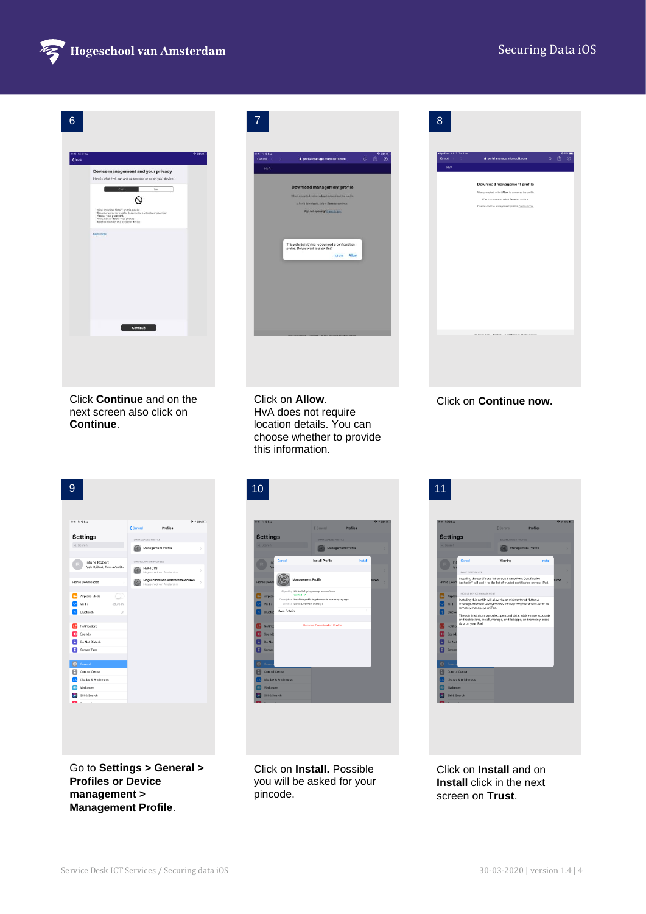

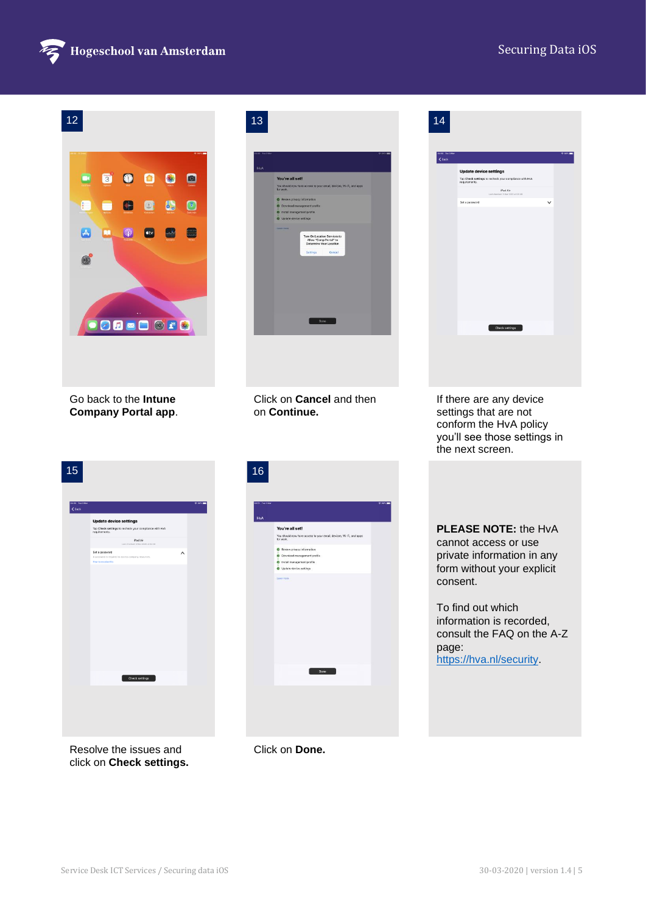